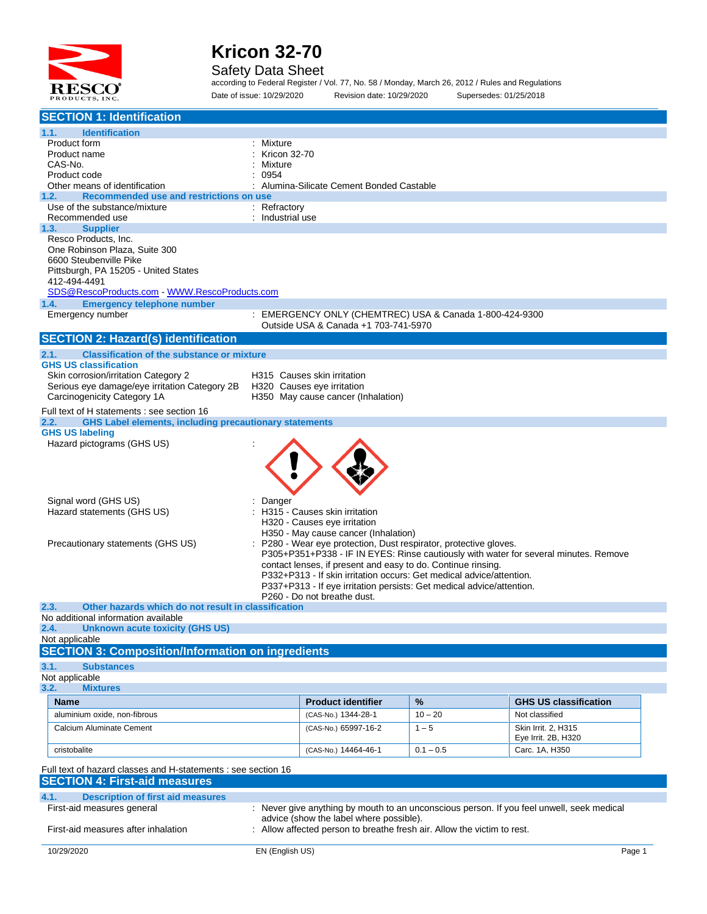

#### Safety Data Sheet

according to Federal Register / Vol. 77, No. 58 / Monday, March 26, 2012 / Rules and Regulations Date of issue: 10/29/2020 Revision date: 10/29/2020 Supersedes: 01/25/2018

| <b>SECTION 1: Identification</b>                                                                                    |                                         |                                                                       |             |                                                                                           |        |  |
|---------------------------------------------------------------------------------------------------------------------|-----------------------------------------|-----------------------------------------------------------------------|-------------|-------------------------------------------------------------------------------------------|--------|--|
| 1.1.<br><b>Identification</b>                                                                                       |                                         |                                                                       |             |                                                                                           |        |  |
| Product form                                                                                                        | Mixture                                 |                                                                       |             |                                                                                           |        |  |
| Product name                                                                                                        | Kricon 32-70                            |                                                                       |             |                                                                                           |        |  |
| CAS-No.                                                                                                             | Mixture                                 |                                                                       |             |                                                                                           |        |  |
| Product code                                                                                                        | 0954                                    | Alumina-Silicate Cement Bonded Castable                               |             |                                                                                           |        |  |
| Other means of identification<br>1.2.<br>Recommended use and restrictions on use                                    |                                         |                                                                       |             |                                                                                           |        |  |
| Use of the substance/mixture                                                                                        | : Refractory                            |                                                                       |             |                                                                                           |        |  |
| Recommended use                                                                                                     | : Industrial use                        |                                                                       |             |                                                                                           |        |  |
| 1.3.<br><b>Supplier</b>                                                                                             |                                         |                                                                       |             |                                                                                           |        |  |
| Resco Products, Inc.                                                                                                |                                         |                                                                       |             |                                                                                           |        |  |
| One Robinson Plaza, Suite 300                                                                                       |                                         |                                                                       |             |                                                                                           |        |  |
| 6600 Steubenville Pike                                                                                              |                                         |                                                                       |             |                                                                                           |        |  |
| Pittsburgh, PA 15205 - United States<br>412-494-4491                                                                |                                         |                                                                       |             |                                                                                           |        |  |
| SDS@RescoProducts.com WWW.RescoProducts.com                                                                         |                                         |                                                                       |             |                                                                                           |        |  |
| 1.4.<br><b>Emergency telephone number</b>                                                                           |                                         |                                                                       |             |                                                                                           |        |  |
| Emergency number                                                                                                    |                                         | : EMERGENCY ONLY (CHEMTREC) USA & Canada 1-800-424-9300               |             |                                                                                           |        |  |
|                                                                                                                     |                                         | Outside USA & Canada +1 703-741-5970                                  |             |                                                                                           |        |  |
| <b>SECTION 2: Hazard(s) identification</b>                                                                          |                                         |                                                                       |             |                                                                                           |        |  |
| <b>Classification of the substance or mixture</b><br>2.1.                                                           |                                         |                                                                       |             |                                                                                           |        |  |
| <b>GHS US classification</b>                                                                                        |                                         |                                                                       |             |                                                                                           |        |  |
| Skin corrosion/irritation Category 2                                                                                | H315 Causes skin irritation             |                                                                       |             |                                                                                           |        |  |
| Serious eye damage/eye irritation Category 2B<br>Carcinogenicity Category 1A                                        | H320 Causes eye irritation              |                                                                       |             |                                                                                           |        |  |
|                                                                                                                     |                                         | H350 May cause cancer (Inhalation)                                    |             |                                                                                           |        |  |
| Full text of H statements : see section 16<br>2.2.<br><b>GHS Label elements, including precautionary statements</b> |                                         |                                                                       |             |                                                                                           |        |  |
| <b>GHS US labeling</b>                                                                                              |                                         |                                                                       |             |                                                                                           |        |  |
| Hazard pictograms (GHS US)                                                                                          |                                         |                                                                       |             |                                                                                           |        |  |
|                                                                                                                     |                                         |                                                                       |             |                                                                                           |        |  |
|                                                                                                                     |                                         |                                                                       |             |                                                                                           |        |  |
|                                                                                                                     |                                         |                                                                       |             |                                                                                           |        |  |
|                                                                                                                     |                                         |                                                                       |             |                                                                                           |        |  |
| Signal word (GHS US)                                                                                                | Danger                                  |                                                                       |             |                                                                                           |        |  |
| Hazard statements (GHS US)                                                                                          |                                         | H315 - Causes skin irritation                                         |             |                                                                                           |        |  |
|                                                                                                                     |                                         | H320 - Causes eye irritation<br>H350 - May cause cancer (Inhalation)  |             |                                                                                           |        |  |
| Precautionary statements (GHS US)                                                                                   |                                         | P280 - Wear eye protection, Dust respirator, protective gloves.       |             |                                                                                           |        |  |
|                                                                                                                     |                                         |                                                                       |             | P305+P351+P338 - IF IN EYES: Rinse cautiously with water for several minutes. Remove      |        |  |
|                                                                                                                     |                                         | contact lenses, if present and easy to do. Continue rinsing.          |             |                                                                                           |        |  |
|                                                                                                                     |                                         | P332+P313 - If skin irritation occurs: Get medical advice/attention.  |             |                                                                                           |        |  |
|                                                                                                                     |                                         | P337+P313 - If eye irritation persists: Get medical advice/attention. |             |                                                                                           |        |  |
| 2.3.<br>Other hazards which do not result in classification                                                         |                                         | P260 - Do not breathe dust.                                           |             |                                                                                           |        |  |
| No additional information available                                                                                 |                                         |                                                                       |             |                                                                                           |        |  |
| Unknown acute toxicity (GHS US)<br>2.4.                                                                             |                                         |                                                                       |             |                                                                                           |        |  |
| Not applicable                                                                                                      |                                         |                                                                       |             |                                                                                           |        |  |
| <b>SECTION 3: Composition/Information on ingredients</b>                                                            |                                         |                                                                       |             |                                                                                           |        |  |
| 3.1.<br><b>Substances</b>                                                                                           |                                         |                                                                       |             |                                                                                           |        |  |
| Not applicable                                                                                                      |                                         |                                                                       |             |                                                                                           |        |  |
| 3.2.<br><b>Mixtures</b>                                                                                             |                                         |                                                                       |             |                                                                                           |        |  |
| <b>Name</b>                                                                                                         |                                         | <b>Product identifier</b>                                             | %           | <b>GHS US classification</b>                                                              |        |  |
| aluminium oxide, non-fibrous                                                                                        |                                         | (CAS-No.) 1344-28-1                                                   | $10 - 20$   | Not classified                                                                            |        |  |
| Calcium Aluminate Cement                                                                                            |                                         | (CAS-No.) 65997-16-2                                                  | $1 - 5$     | Skin Irrit. 2, H315                                                                       |        |  |
|                                                                                                                     |                                         |                                                                       |             | Eye Irrit. 2B, H320                                                                       |        |  |
| cristobalite                                                                                                        |                                         | (CAS-No.) 14464-46-1                                                  | $0.1 - 0.5$ | Carc. 1A, H350                                                                            |        |  |
| Full text of hazard classes and H-statements : see section 16                                                       |                                         |                                                                       |             |                                                                                           |        |  |
| <b>SECTION 4: First-aid measures</b>                                                                                |                                         |                                                                       |             |                                                                                           |        |  |
| 4.1.<br><b>Description of first aid measures</b>                                                                    |                                         |                                                                       |             |                                                                                           |        |  |
| First-aid measures general                                                                                          |                                         |                                                                       |             | : Never give anything by mouth to an unconscious person. If you feel unwell, seek medical |        |  |
|                                                                                                                     | advice (show the label where possible). |                                                                       |             |                                                                                           |        |  |
| First-aid measures after inhalation<br>Allow affected person to breathe fresh air. Allow the victim to rest.        |                                         |                                                                       |             |                                                                                           |        |  |
| 10/29/2020                                                                                                          | EN (English US)                         |                                                                       |             |                                                                                           | Page 1 |  |
|                                                                                                                     |                                         |                                                                       |             |                                                                                           |        |  |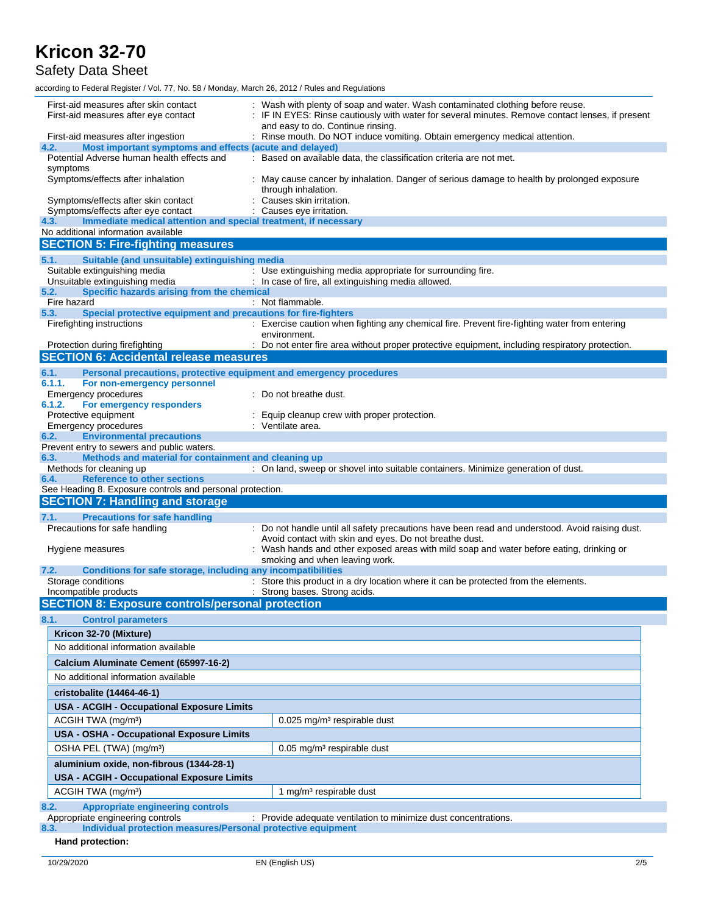Safety Data Sheet

according to Federal Register / Vol. 77, No. 58 / Monday, March 26, 2012 / Rules and Regulations

| First-aid measures after skin contact<br>First-aid measures after eye contact                                  | : Wash with plenty of soap and water. Wash contaminated clothing before reuse.<br>: IF IN EYES: Rinse cautiously with water for several minutes. Remove contact lenses, if present |
|----------------------------------------------------------------------------------------------------------------|------------------------------------------------------------------------------------------------------------------------------------------------------------------------------------|
| First-aid measures after ingestion<br>Most important symptoms and effects (acute and delayed)<br>4.2.          | and easy to do. Continue rinsing.<br>: Rinse mouth. Do NOT induce vomiting. Obtain emergency medical attention.                                                                    |
| Potential Adverse human health effects and                                                                     | : Based on available data, the classification criteria are not met.                                                                                                                |
| symptoms                                                                                                       |                                                                                                                                                                                    |
| Symptoms/effects after inhalation                                                                              | May cause cancer by inhalation. Danger of serious damage to health by prolonged exposure<br>through inhalation.                                                                    |
| Symptoms/effects after skin contact                                                                            | Causes skin irritation.                                                                                                                                                            |
| Symptoms/effects after eye contact                                                                             | Causes eye irritation.                                                                                                                                                             |
| Immediate medical attention and special treatment, if necessary<br>4.3.<br>No additional information available |                                                                                                                                                                                    |
| <b>SECTION 5: Fire-fighting measures</b>                                                                       |                                                                                                                                                                                    |
|                                                                                                                |                                                                                                                                                                                    |
| Suitable (and unsuitable) extinguishing media<br>5.1.<br>Suitable extinguishing media                          | : Use extinguishing media appropriate for surrounding fire.                                                                                                                        |
| Unsuitable extinguishing media                                                                                 | : In case of fire, all extinguishing media allowed.                                                                                                                                |
| Specific hazards arising from the chemical<br>5.2.                                                             |                                                                                                                                                                                    |
| Fire hazard                                                                                                    | : Not flammable.                                                                                                                                                                   |
| Special protective equipment and precautions for fire-fighters<br>5.3.                                         |                                                                                                                                                                                    |
| Firefighting instructions                                                                                      | : Exercise caution when fighting any chemical fire. Prevent fire-fighting water from entering<br>environment.                                                                      |
| Protection during firefighting                                                                                 | : Do not enter fire area without proper protective equipment, including respiratory protection.                                                                                    |
| <b>SECTION 6: Accidental release measures</b>                                                                  |                                                                                                                                                                                    |
| Personal precautions, protective equipment and emergency procedures<br>6.1.                                    |                                                                                                                                                                                    |
| 6.1.1.<br>For non-emergency personnel                                                                          |                                                                                                                                                                                    |
| Emergency procedures                                                                                           | Do not breathe dust.                                                                                                                                                               |
| 6.1.2.<br>For emergency responders<br>Protective equipment                                                     | Equip cleanup crew with proper protection.                                                                                                                                         |
| Emergency procedures                                                                                           | : Ventilate area.                                                                                                                                                                  |
| <b>Environmental precautions</b><br>6.2.                                                                       |                                                                                                                                                                                    |
| Prevent entry to sewers and public waters.                                                                     |                                                                                                                                                                                    |
| Methods and material for containment and cleaning up<br>6.3.                                                   |                                                                                                                                                                                    |
|                                                                                                                |                                                                                                                                                                                    |
| Methods for cleaning up                                                                                        | : On land, sweep or shovel into suitable containers. Minimize generation of dust.                                                                                                  |
| <b>Reference to other sections</b><br>6.4.                                                                     |                                                                                                                                                                                    |
| See Heading 8. Exposure controls and personal protection.                                                      |                                                                                                                                                                                    |
| <b>SECTION 7: Handling and storage</b>                                                                         |                                                                                                                                                                                    |
| <b>Precautions for safe handling</b><br>7.1.                                                                   |                                                                                                                                                                                    |
| Precautions for safe handling                                                                                  | : Do not handle until all safety precautions have been read and understood. Avoid raising dust.                                                                                    |
| Hygiene measures                                                                                               | Avoid contact with skin and eyes. Do not breathe dust.<br>Wash hands and other exposed areas with mild soap and water before eating, drinking or                                   |
| 7.2.<br>Conditions for safe storage, including any incompatibilities                                           | smoking and when leaving work.                                                                                                                                                     |
| Storage conditions                                                                                             | Store this product in a dry location where it can be protected from the elements.                                                                                                  |
| Incompatible products                                                                                          | : Strong bases. Strong acids.                                                                                                                                                      |
| <b>SECTION 8: Exposure controls/personal protection</b>                                                        |                                                                                                                                                                                    |
| <b>Control parameters</b><br>8.1.                                                                              |                                                                                                                                                                                    |
| Kricon 32-70 (Mixture)                                                                                         |                                                                                                                                                                                    |
| No additional information available                                                                            |                                                                                                                                                                                    |
|                                                                                                                |                                                                                                                                                                                    |
| Calcium Aluminate Cement (65997-16-2)                                                                          |                                                                                                                                                                                    |
| No additional information available                                                                            |                                                                                                                                                                                    |
| cristobalite (14464-46-1)                                                                                      |                                                                                                                                                                                    |
| <b>USA - ACGIH - Occupational Exposure Limits</b>                                                              |                                                                                                                                                                                    |
| ACGIH TWA (mg/m <sup>3</sup> )                                                                                 | 0.025 mg/m <sup>3</sup> respirable dust                                                                                                                                            |
| <b>USA - OSHA - Occupational Exposure Limits</b>                                                               |                                                                                                                                                                                    |
|                                                                                                                | 0.05 mg/m <sup>3</sup> respirable dust                                                                                                                                             |
| OSHA PEL (TWA) (mg/m <sup>3</sup> )                                                                            |                                                                                                                                                                                    |
| aluminium oxide, non-fibrous (1344-28-1)                                                                       |                                                                                                                                                                                    |
| <b>USA - ACGIH - Occupational Exposure Limits</b>                                                              |                                                                                                                                                                                    |
| ACGIH TWA (mg/m <sup>3</sup> )                                                                                 | 1 mg/m <sup>3</sup> respirable dust                                                                                                                                                |
| <b>Appropriate engineering controls</b><br>8.2.<br>Appropriate engineering controls                            | : Provide adequate ventilation to minimize dust concentrations.                                                                                                                    |

**8.3. Individual protection measures/Personal protective equipment**

**Hand protection:**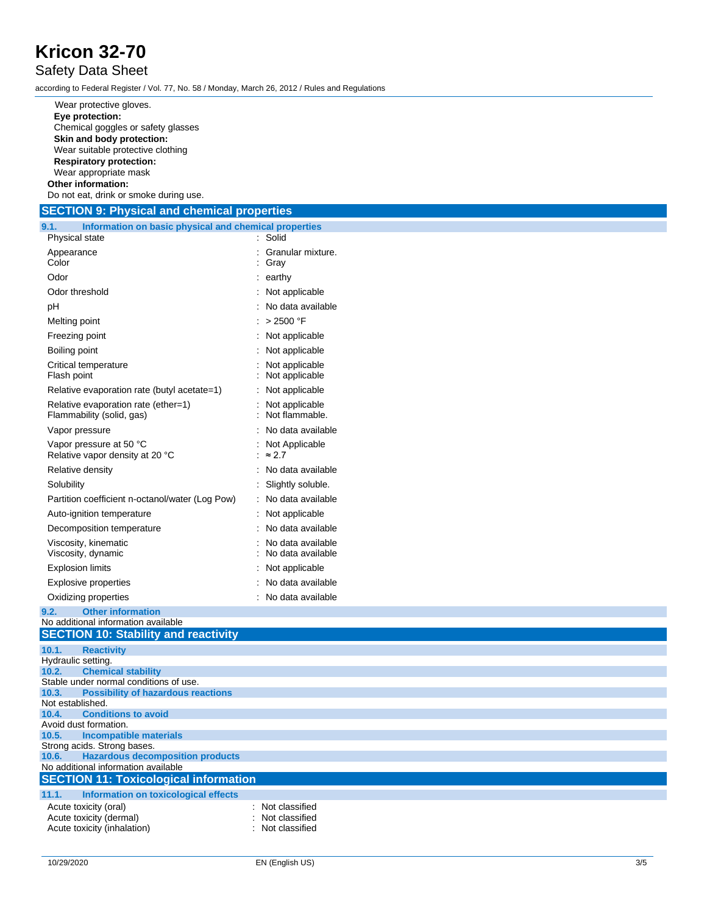#### Safety Data Sheet

according to Federal Register / Vol. 77, No. 58 / Monday, March 26, 2012 / Rules and Regulations

Wear protective gloves. **Eye protection :** Chemical goggles or safety glasses **Skin and body protection :** Wear suitable protective clothing **Respiratory protection :** Wear appropriate mask **Other information :** Do not eat, drink or smoke during use.

**SECTION 9: Physical and chemical properties 9.1. Information on basic physical and chemical properties** Physical state : Solid Appearance : Granular mixture. **Color** : Gray Odor : earthy Odor threshold : Not applicable pH : No data available Melting point :  $> 2500 °F$ Freezing point : Not applicable Boiling point : Not applicable Critical temperature : Not applicable Flash point : Not applicable Relative evaporation rate (butyl acetate=1) : Not applicable Relative evaporation rate (ether=1) : Not applicable Flammability (solid, gas) : Not flammable. Vapor pressure : No data available Vapor pressure at 50 °C : Not Applicable Relative vapor density at 20 °C : ≈ 2.7 Relative density : No data available **Solubility** : Slightly soluble. Partition coefficient n -octanol/water (Log Pow) : No data available Auto -ignition temperature : Not applicable Decomposition temperature : No data available Viscosity, kinematic : No data available Viscosity, dynamic : No data available Explosion limits : Not applicable Explosive properties : No data available Oxidizing properties : No data available **9.2. Other information** No additional information available **SECTION 10: Stability and reactivity 10.1. Reactivity** Hydraulic setting.<br>10.2. Chemio **10.2. Chemical stability** Stable under normal conditions of use. **10.3. Possibility of hazardous reactions** Not established. **10.4. Conditions to avoid** Avoid dust formation. **10.5. Incompatible materials** Strong acids. Strong bases.<br>10.6. Hazardous decor **10.6. Hazardous decomposition products** No additional information available **SECTION 11: Toxicological information 11.1. Information on toxicological effects** : Not classified

: Not classified

: Not classified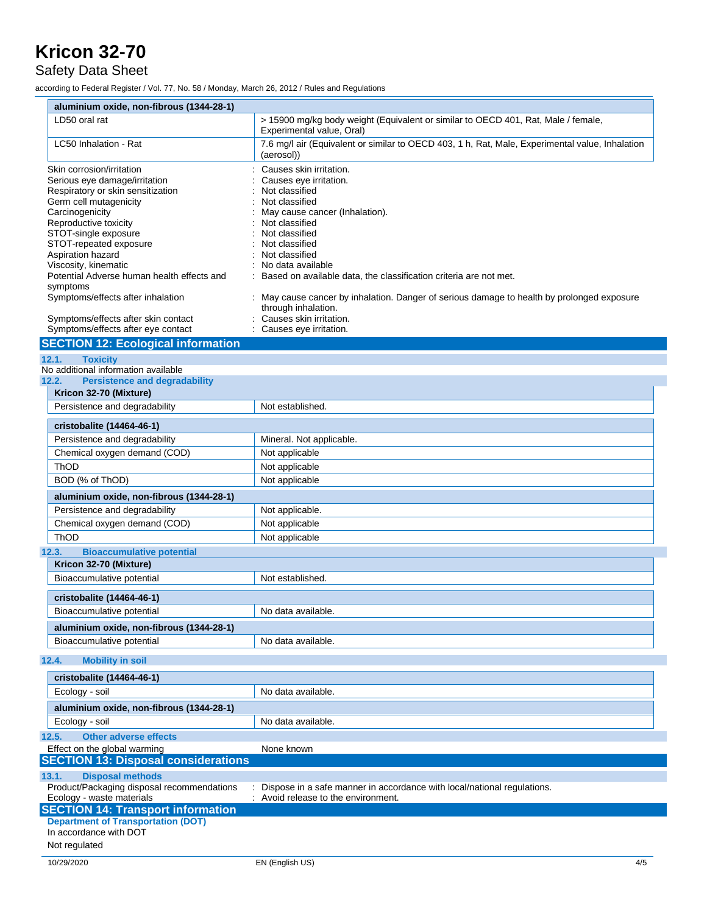#### Safety Data Sheet

according to Federal Register / Vol. 77, No. 58 / Monday, March 26, 2012 / Rules and Regulations

| aluminium oxide, non-fibrous (1344-28-1)                                                                                                                                                                                                                                                                                                                            |                                                                                                                                                                                                                                                                                                                                                                                                                |
|---------------------------------------------------------------------------------------------------------------------------------------------------------------------------------------------------------------------------------------------------------------------------------------------------------------------------------------------------------------------|----------------------------------------------------------------------------------------------------------------------------------------------------------------------------------------------------------------------------------------------------------------------------------------------------------------------------------------------------------------------------------------------------------------|
| LD50 oral rat                                                                                                                                                                                                                                                                                                                                                       | > 15900 mg/kg body weight (Equivalent or similar to OECD 401, Rat, Male / female,<br>Experimental value, Oral)                                                                                                                                                                                                                                                                                                 |
| LC50 Inhalation - Rat                                                                                                                                                                                                                                                                                                                                               | 7.6 mg/l air (Equivalent or similar to OECD 403, 1 h, Rat, Male, Experimental value, Inhalation<br>(aerosol))                                                                                                                                                                                                                                                                                                  |
| Skin corrosion/irritation<br>Serious eye damage/irritation<br>Respiratory or skin sensitization<br>Germ cell mutagenicity<br>Carcinogenicity<br>Reproductive toxicity<br>STOT-single exposure<br>STOT-repeated exposure<br>Aspiration hazard<br>Viscosity, kinematic<br>Potential Adverse human health effects and<br>symptoms<br>Symptoms/effects after inhalation | Causes skin irritation.<br>Causes eye irritation.<br>Not classified<br>Not classified<br>May cause cancer (Inhalation).<br>Not classified<br>Not classified<br>Not classified<br>Not classified<br>No data available<br>Based on available data, the classification criteria are not met.<br>: May cause cancer by inhalation. Danger of serious damage to health by prolonged exposure<br>through inhalation. |
| Symptoms/effects after skin contact                                                                                                                                                                                                                                                                                                                                 | Causes skin irritation.                                                                                                                                                                                                                                                                                                                                                                                        |
| Symptoms/effects after eye contact                                                                                                                                                                                                                                                                                                                                  | Causes eye irritation.                                                                                                                                                                                                                                                                                                                                                                                         |
| <b>SECTION 12: Ecological information</b>                                                                                                                                                                                                                                                                                                                           |                                                                                                                                                                                                                                                                                                                                                                                                                |
| 12.1.<br><b>Toxicity</b>                                                                                                                                                                                                                                                                                                                                            |                                                                                                                                                                                                                                                                                                                                                                                                                |
| No additional information available                                                                                                                                                                                                                                                                                                                                 |                                                                                                                                                                                                                                                                                                                                                                                                                |
| <b>Persistence and degradability</b><br>12.2.                                                                                                                                                                                                                                                                                                                       |                                                                                                                                                                                                                                                                                                                                                                                                                |
| Kricon 32-70 (Mixture)                                                                                                                                                                                                                                                                                                                                              |                                                                                                                                                                                                                                                                                                                                                                                                                |
| Persistence and degradability                                                                                                                                                                                                                                                                                                                                       | Not established.                                                                                                                                                                                                                                                                                                                                                                                               |
| cristobalite (14464-46-1)                                                                                                                                                                                                                                                                                                                                           |                                                                                                                                                                                                                                                                                                                                                                                                                |
| Persistence and degradability                                                                                                                                                                                                                                                                                                                                       | Mineral. Not applicable.                                                                                                                                                                                                                                                                                                                                                                                       |
| Chemical oxygen demand (COD)                                                                                                                                                                                                                                                                                                                                        | Not applicable                                                                                                                                                                                                                                                                                                                                                                                                 |
| ThOD                                                                                                                                                                                                                                                                                                                                                                | Not applicable                                                                                                                                                                                                                                                                                                                                                                                                 |
| BOD (% of ThOD)                                                                                                                                                                                                                                                                                                                                                     | Not applicable                                                                                                                                                                                                                                                                                                                                                                                                 |
| aluminium oxide, non-fibrous (1344-28-1)                                                                                                                                                                                                                                                                                                                            |                                                                                                                                                                                                                                                                                                                                                                                                                |
| Persistence and degradability                                                                                                                                                                                                                                                                                                                                       | Not applicable.                                                                                                                                                                                                                                                                                                                                                                                                |
| Chemical oxygen demand (COD)                                                                                                                                                                                                                                                                                                                                        | Not applicable                                                                                                                                                                                                                                                                                                                                                                                                 |
| <b>ThOD</b>                                                                                                                                                                                                                                                                                                                                                         | Not applicable                                                                                                                                                                                                                                                                                                                                                                                                 |
| <b>Bioaccumulative potential</b><br>12.3.                                                                                                                                                                                                                                                                                                                           |                                                                                                                                                                                                                                                                                                                                                                                                                |
| Kricon 32-70 (Mixture)                                                                                                                                                                                                                                                                                                                                              |                                                                                                                                                                                                                                                                                                                                                                                                                |
| Bioaccumulative potential                                                                                                                                                                                                                                                                                                                                           | Not established.                                                                                                                                                                                                                                                                                                                                                                                               |
|                                                                                                                                                                                                                                                                                                                                                                     |                                                                                                                                                                                                                                                                                                                                                                                                                |
| cristobalite (14464-46-1)                                                                                                                                                                                                                                                                                                                                           |                                                                                                                                                                                                                                                                                                                                                                                                                |
| Bioaccumulative potential                                                                                                                                                                                                                                                                                                                                           | No data available                                                                                                                                                                                                                                                                                                                                                                                              |
| aluminium oxide, non-fibrous (1344-28-1)                                                                                                                                                                                                                                                                                                                            |                                                                                                                                                                                                                                                                                                                                                                                                                |
| Bioaccumulative potential                                                                                                                                                                                                                                                                                                                                           | No data available.                                                                                                                                                                                                                                                                                                                                                                                             |
| 12.4.<br><b>Mobility in soil</b>                                                                                                                                                                                                                                                                                                                                    |                                                                                                                                                                                                                                                                                                                                                                                                                |
| cristobalite (14464-46-1)                                                                                                                                                                                                                                                                                                                                           |                                                                                                                                                                                                                                                                                                                                                                                                                |
| Ecology - soil                                                                                                                                                                                                                                                                                                                                                      | No data available.                                                                                                                                                                                                                                                                                                                                                                                             |
| aluminium oxide, non-fibrous (1344-28-1)                                                                                                                                                                                                                                                                                                                            |                                                                                                                                                                                                                                                                                                                                                                                                                |
| Ecology - soil                                                                                                                                                                                                                                                                                                                                                      | No data available.                                                                                                                                                                                                                                                                                                                                                                                             |
| 12.5.<br><b>Other adverse effects</b>                                                                                                                                                                                                                                                                                                                               |                                                                                                                                                                                                                                                                                                                                                                                                                |
| Effect on the global warming                                                                                                                                                                                                                                                                                                                                        | None known                                                                                                                                                                                                                                                                                                                                                                                                     |
| <b>SECTION 13: Disposal considerations</b>                                                                                                                                                                                                                                                                                                                          |                                                                                                                                                                                                                                                                                                                                                                                                                |
| <b>Disposal methods</b><br>13.1.                                                                                                                                                                                                                                                                                                                                    |                                                                                                                                                                                                                                                                                                                                                                                                                |
| Product/Packaging disposal recommendations                                                                                                                                                                                                                                                                                                                          | Dispose in a safe manner in accordance with local/national regulations.                                                                                                                                                                                                                                                                                                                                        |
| Ecology - waste materials                                                                                                                                                                                                                                                                                                                                           | Avoid release to the environment.                                                                                                                                                                                                                                                                                                                                                                              |
| <b>SECTION 14: Transport information</b>                                                                                                                                                                                                                                                                                                                            |                                                                                                                                                                                                                                                                                                                                                                                                                |

**Department of Transportation (DOT)** In accordance with DOT

#### Not regulated